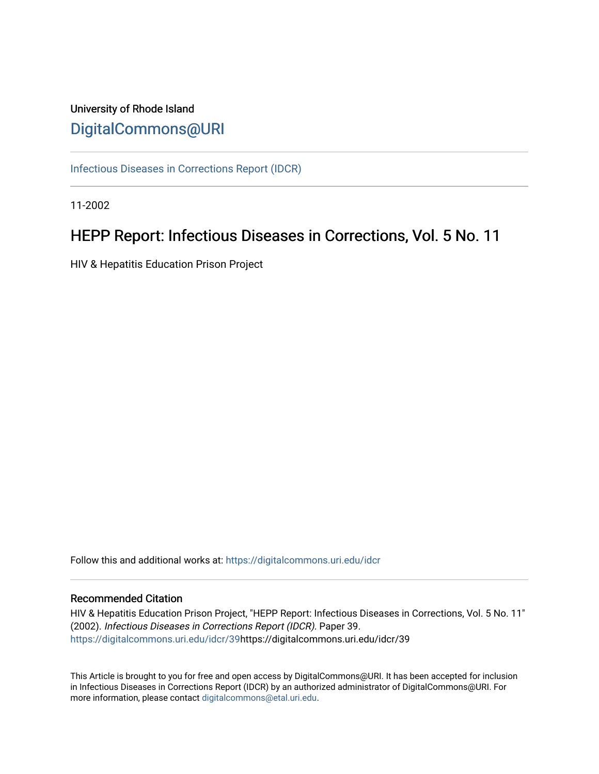# University of Rhode Island [DigitalCommons@URI](https://digitalcommons.uri.edu/)

[Infectious Diseases in Corrections Report \(IDCR\)](https://digitalcommons.uri.edu/idcr)

11-2002

# HEPP Report: Infectious Diseases in Corrections, Vol. 5 No. 11

HIV & Hepatitis Education Prison Project

Follow this and additional works at: [https://digitalcommons.uri.edu/idcr](https://digitalcommons.uri.edu/idcr?utm_source=digitalcommons.uri.edu%2Fidcr%2F39&utm_medium=PDF&utm_campaign=PDFCoverPages)

## Recommended Citation

HIV & Hepatitis Education Prison Project, "HEPP Report: Infectious Diseases in Corrections, Vol. 5 No. 11" (2002). Infectious Diseases in Corrections Report (IDCR). Paper 39. [https://digitalcommons.uri.edu/idcr/39h](https://digitalcommons.uri.edu/idcr/39?utm_source=digitalcommons.uri.edu%2Fidcr%2F39&utm_medium=PDF&utm_campaign=PDFCoverPages)ttps://digitalcommons.uri.edu/idcr/39

This Article is brought to you for free and open access by DigitalCommons@URI. It has been accepted for inclusion in Infectious Diseases in Corrections Report (IDCR) by an authorized administrator of DigitalCommons@URI. For more information, please contact [digitalcommons@etal.uri.edu.](mailto:digitalcommons@etal.uri.edu)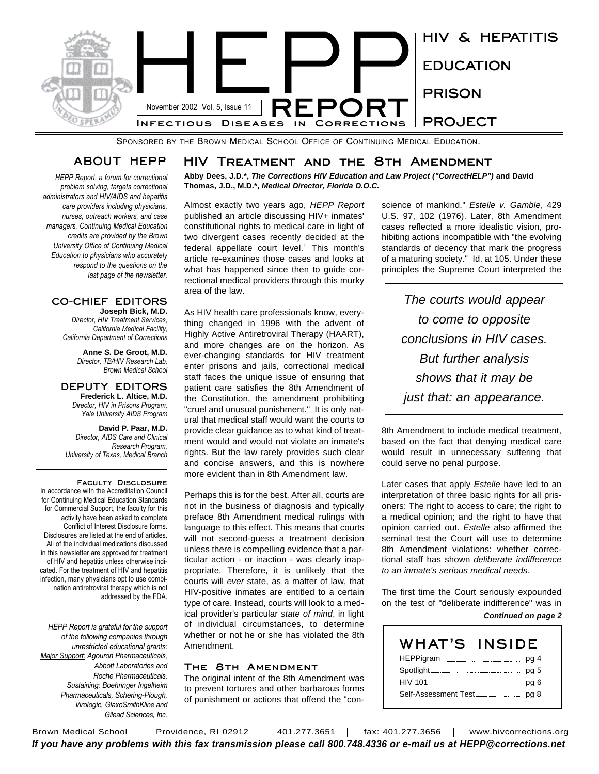

SPONSORED BY THE BROWN MEDICAL SCHOOL OFFICE OF CONTINUING MEDICAL EDUCATION.

## **ABOUT HEPP**

*HEPP Report, a forum for correctional problem solving, targets correctional administrators and HIV/AIDS and hepatitis care providers including physicians, nurses, outreach workers, and case managers. Continuing Medical Education credits are provided by the Brown University Office of Continuing Medical Education to physicians who accurately respond to the questions on the last page of the newsletter.* 

#### **CO-CHIEF EDITORS Joseph Bick, M.D.**

*Director, HIV Treatment Services, California Medical Facility, California Department of Corrections*

> **Anne S. De Groot, M.D.** *Director, TB/HIV Research Lab, Brown Medical School*

**DEPUTY EDITORS Frederick L. Altice, M.D.** *Director, HIV in Prisons Program, Yale University AIDS Program*

**David P. Paar, M.D.** *Director, AIDS Care and Clinical Research Program, University of Texas, Medical Branch*

**Faculty Disclosure** In accordance with the Accreditation Council for Continuing Medical Education Standards for Commercial Support, the faculty for this activity have been asked to complete Conflict of Interest Disclosure forms. Disclosures are listed at the end of articles. All of the individual medications discussed in this newsletter are approved for treatment of HIV and hepatitis unless otherwise indicated. For the treatment of HIV and hepatitis infection, many physicians opt to use combination antiretroviral therapy which is not addressed by the FDA.

*HEPP Report is grateful for the support of the following companies through unrestricted educational grants: Major Support: Agouron Pharmaceuticals, Abbott Laboratories and Roche Pharmaceuticals, Sustaining: Boehringer Ingelheim Pharmaceuticals, Schering-Plough, Virologic, GlaxoSmithKline and Gilead Sciences, Inc.*

## **HIV Treatment and the 8th Amendment**

**Abby Dees, J.D.\*,** *The Corrections HIV Education and Law Project ("CorrectHELP")* **and David Thomas, J.D., M.D.\*,** *Medical Director, Florida D.O.C.*

Almost exactly two years ago, *HEPP Report* published an article discussing HIV+ inmates' constitutional rights to medical care in light of two divergent cases recently decided at the federal appellate court level.<sup>1</sup> This month's article re-examines those cases and looks at what has happened since then to guide correctional medical providers through this murky area of the law.

As HIV health care professionals know, everything changed in 1996 with the advent of Highly Active Antiretroviral Therapy (HAART), and more changes are on the horizon. As ever-changing standards for HIV treatment enter prisons and jails, correctional medical staff faces the unique issue of ensuring that patient care satisfies the 8th Amendment of the Constitution, the amendment prohibiting "cruel and unusual punishment." It is only natural that medical staff would want the courts to provide clear guidance as to what kind of treatment would and would not violate an inmate's rights. But the law rarely provides such clear and concise answers, and this is nowhere more evident than in 8th Amendment law.

Perhaps this is for the best. After all, courts are not in the business of diagnosis and typically preface 8th Amendment medical rulings with language to this effect. This means that courts will not second-guess a treatment decision unless there is compelling evidence that a particular action - or inaction - was clearly inappropriate. Therefore, it is unlikely that the courts will *ever* state, as a matter of law, that HIV-positive inmates are entitled to a certain type of care. Instead, courts will look to a medical provider's particular *state of mind*, in light of individual circumstances, to determine whether or not he or she has violated the 8th Amendment.

## **The 8th Amendment**

The original intent of the 8th Amendment was to prevent tortures and other barbarous forms of punishment or actions that offend the "conscience of mankind." *Estelle v. Gamble*, 429 U.S. 97, 102 (1976). Later, 8th Amendment cases reflected a more idealistic vision, prohibiting actions incompatible with "the evolving standards of decency that mark the progress of a maturing society." Id. at 105. Under these principles the Supreme Court interpreted the

*The courts would appear to come to opposite conclusions in HIV cases. But further analysis shows that it may be just that: an appearance.*

8th Amendment to include medical treatment, based on the fact that denying medical care would result in unnecessary suffering that could serve no penal purpose.

Later cases that apply *Estelle* have led to an interpretation of three basic rights for all prisoners: The right to access to care; the right to a medical opinion; and the right to have that opinion carried out. *Estelle* also affirmed the seminal test the Court will use to determine 8th Amendment violations: whether correctional staff has shown *deliberate indifference to an inmate's serious medical needs*.

The first time the Court seriously expounded on the test of "deliberate indifference" was in

#### *Continued on page 2*

| WHAT'S | <b>INSIDE</b> |
|--------|---------------|
|        |               |
|        |               |
|        |               |
|        |               |

Brown Medical School | Providence, RI 02912 | 401.277.3651 | fax: 401.277.3656 | www.hivcorrections.org *If you have any problems with this fax transmission please call 800.748.4336 or e-mail us at HEPP@corrections.net*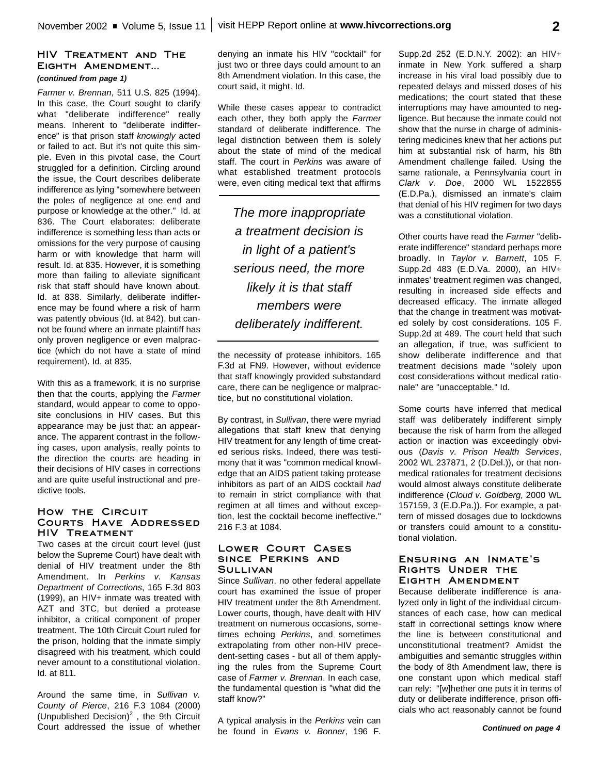## **HIV Treatment and The Eighth Amendment...** *(continued from page 1)*

*Farmer v. Brennan*, 511 U.S. 825 (1994). In this case, the Court sought to clarify what "deliberate indifference" really means. Inherent to "deliberate indifference" is that prison staff *knowingly* acted or failed to act. But it's not quite this simple. Even in this pivotal case, the Court struggled for a definition. Circling around the issue, the Court describes deliberate indifference as lying "somewhere between the poles of negligence at one end and purpose or knowledge at the other." Id. at 836. The Court elaborates: deliberate indifference is something less than acts or omissions for the very purpose of causing harm or with knowledge that harm will result. Id. at 835. However, it is something more than failing to alleviate significant risk that staff should have known about. Id. at 838. Similarly, deliberate indifference may be found where a risk of harm was patently obvious (Id. at 842), but cannot be found where an inmate plaintiff has only proven negligence or even malpractice (which do not have a state of mind requirement). Id. at 835.

With this as a framework, it is no surprise then that the courts, applying the *Farmer* standard, would appear to come to opposite conclusions in HIV cases. But this appearance may be just that: an appearance. The apparent contrast in the following cases, upon analysis, really points to the direction the courts are heading in their decisions of HIV cases in corrections and are quite useful instructional and predictive tools.

## **How the Circuit Courts Have Addressed HIV Treatment**

Two cases at the circuit court level (just below the Supreme Court) have dealt with denial of HIV treatment under the 8th Amendment. In *Perkins v. Kansas Department of Corrections*, 165 F.3d 803 (1999), an HIV+ inmate was treated with AZT and 3TC, but denied a protease inhibitor, a critical component of proper treatment. The 10th Circuit Court ruled for the prison, holding that the inmate simply disagreed with his treatment, which could never amount to a constitutional violation. Id. at 811.

Around the same time, in *Sullivan v. County of Pierce*, 216 F.3 1084 (2000) (Unpublished Decision) $^2$ , the 9th Circuit Court addressed the issue of whether denying an inmate his HIV "cocktail" for just two or three days could amount to an 8th Amendment violation. In this case, the court said, it might. Id.

While these cases appear to contradict each other, they both apply the *Farmer* standard of deliberate indifference. The legal distinction between them is solely about the state of mind of the medical staff. The court in *Perkins* was aware of what established treatment protocols were, even citing medical text that affirms

*The more inappropriate a treatment decision is in light of a patient's serious need, the more likely it is that staff members were deliberately indifferent.*

the necessity of protease inhibitors. 165 F.3d at FN9. However, without evidence that staff knowingly provided substandard care, there can be negligence or malpractice, but no constitutional violation.

By contrast, in *Sullivan*, there were myriad allegations that staff knew that denying HIV treatment for any length of time created serious risks. Indeed, there was testimony that it was "common medical knowledge that an AIDS patient taking protease inhibitors as part of an AIDS cocktail *had* to remain in strict compliance with that regimen at all times and without exception, lest the cocktail become ineffective." 216 F.3 at 1084.

### **Lower Court Cases since Perkins and Sullivan**

Since *Sullivan*, no other federal appellate court has examined the issue of proper HIV treatment under the 8th Amendment. Lower courts, though, have dealt with HIV treatment on numerous occasions, sometimes echoing *Perkins*, and sometimes extrapolating from other non-HIV precedent-setting cases - but all of them applying the rules from the Supreme Court case of *Farmer v. Brennan*. In each case, the fundamental question is "what did the staff know?"

A typical analysis in the *Perkins* vein can be found in *Evans v. Bonner*, 196 F.

Supp.2d 252 (E.D.N.Y. 2002): an HIV+ inmate in New York suffered a sharp increase in his viral load possibly due to repeated delays and missed doses of his medications; the court stated that these interruptions may have amounted to negligence. But because the inmate could not show that the nurse in charge of administering medicines knew that her actions put him at substantial risk of harm, his 8th Amendment challenge failed. Using the same rationale, a Pennsylvania court in *Clark v. Doe*, 2000 WL 1522855 (E.D.Pa.), dismissed an inmate's claim that denial of his HIV regimen for two days was a constitutional violation.

Other courts have read the *Farmer* "deliberate indifference" standard perhaps more broadly. In *Taylor v. Barnett*, 105 F. Supp.2d 483 (E.D.Va. 2000), an HIV+ inmates' treatment regimen was changed, resulting in increased side effects and decreased efficacy. The inmate alleged that the change in treatment was motivated solely by cost considerations. 105 F. Supp.2d at 489. The court held that such an allegation, if true, was sufficient to show deliberate indifference and that treatment decisions made "solely upon cost considerations without medical rationale" are "unacceptable." Id.

Some courts have inferred that medical staff was deliberately indifferent simply because the risk of harm from the alleged action or inaction was exceedingly obvious (*Davis v. Prison Health Services*, 2002 WL 237871, 2 (D.Del.)), or that nonmedical rationales for treatment decisions would almost always constitute deliberate indifference (*Cloud v. Goldberg*, 2000 WL 157159, 3 (E.D.Pa.)). For example, a pattern of missed dosages due to lockdowns or transfers could amount to a constitutional violation.

### **Ensuring an Inmate's Rights Under the Eighth Amendment**

Because deliberate indifference is analyzed only in light of the individual circumstances of each case, how can medical staff in correctional settings know where the line is between constitutional and unconstitutional treatment? Amidst the ambiguities and semantic struggles within the body of 8th Amendment law, there is one constant upon which medical staff can rely: "[w]hether one puts it in terms of duty or deliberate indifference, prison officials who act reasonably cannot be found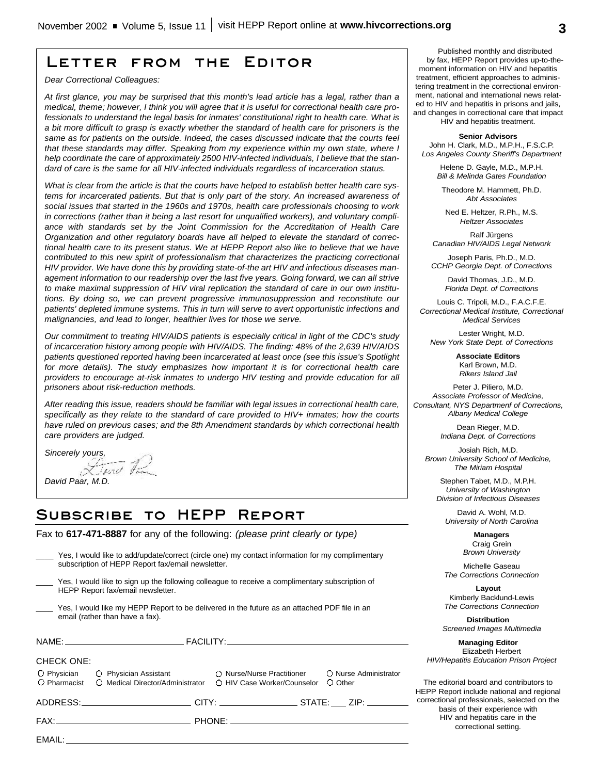## **Letter from the Editor**

*Dear Correctional Colleagues:*

*At first glance, you may be surprised that this month's lead article has a legal, rather than a medical, theme; however, I think you will agree that it is useful for correctional health care professionals to understand the legal basis for inmates' constitutional right to health care. What is a bit more difficult to grasp is exactly whether the standard of health care for prisoners is the same as for patients on the outside. Indeed, the cases discussed indicate that the courts feel that these standards may differ. Speaking from my experience within my own state, where I help coordinate the care of approximately 2500 HIV-infected individuals, I believe that the standard of care is the same for all HIV-infected individuals regardless of incarceration status.*

*What is clear from the article is that the courts have helped to establish better health care systems for incarcerated patients. But that is only part of the story. An increased awareness of social issues that started in the 1960s and 1970s, health care professionals choosing to work in corrections (rather than it being a last resort for unqualified workers), and voluntary compliance with standards set by the Joint Commission for the Accreditation of Health Care Organization and other regulatory boards have all helped to elevate the standard of correctional health care to its present status. We at HEPP Report also like to believe that we have contributed to this new spirit of professionalism that characterizes the practicing correctional HIV provider. We have done this by providing state-of-the art HIV and infectious diseases management information to our readership over the last five years. Going forward, we can all strive to make maximal suppression of HIV viral replication the standard of care in our own institutions. By doing so, we can prevent progressive immunosuppression and reconstitute our patients' depleted immune systems. This in turn will serve to avert opportunistic infections and malignancies, and lead to longer, healthier lives for those we serve.*

*Our commitment to treating HIV/AIDS patients is especially critical in light of the CDC's study of incarceration history among people with HIV/AIDS. The finding: 48% of the 2,639 HIV/AIDS patients questioned reported having been incarcerated at least once (see this issue's Spotlight for more details). The study emphasizes how important it is for correctional health care providers to encourage at-risk inmates to undergo HIV testing and provide education for all prisoners about risk-reduction methods.*

*After reading this issue, readers should be familiar with legal issues in correctional health care, specifically as they relate to the standard of care provided to HIV+ inmates; how the courts have ruled on previous cases; and the 8th Amendment standards by which correctional health care providers are judged.*

*Sincerely yours,*<br>*<u><i><u><i>Ziend*</u> *Tam*</del></u> *David Paar, M.D.*

## **Subscribe to HEPP Report**

Fax to **617-471-8887** for any of the following: *(please print clearly or type)*

|                                                                                                                                      | ______ res, i would like to add/update/correct (circle one) http://unitad.html/infation.html complimentally<br>subscription of HEPP Report fax/email newsletter. |                             |                                  |  |  |
|--------------------------------------------------------------------------------------------------------------------------------------|------------------------------------------------------------------------------------------------------------------------------------------------------------------|-----------------------------|----------------------------------|--|--|
| Yes, I would like to sign up the following colleague to receive a complimentary subscription of<br>HEPP Report fax/email newsletter. |                                                                                                                                                                  |                             |                                  |  |  |
| Yes, I would like my HEPP Report to be delivered in the future as an attached PDF file in an<br>email (rather than have a fax).      |                                                                                                                                                                  |                             |                                  |  |  |
|                                                                                                                                      |                                                                                                                                                                  |                             |                                  |  |  |
| <b>CHECK ONE:</b>                                                                                                                    |                                                                                                                                                                  |                             |                                  |  |  |
| O Pharmacist                                                                                                                         | O Physician C Physician Assistant C Nurse/Nurse Practitioner<br>O Medical Director/Administrator                                                                 | ○ HIV Case Worker/Counselor | O Nurse Administrator<br>O Other |  |  |
|                                                                                                                                      | ADDRESS:_________________________CITY: ___________________STATE: ____ ZIP: _______                                                                               |                             |                                  |  |  |
|                                                                                                                                      |                                                                                                                                                                  |                             |                                  |  |  |
|                                                                                                                                      |                                                                                                                                                                  |                             |                                  |  |  |
|                                                                                                                                      |                                                                                                                                                                  |                             |                                  |  |  |

\_\_\_\_ Yes, I would like to add/update/correct (circle one) my contact information for my complimentary

Published monthly and distributed by fax, HEPP Report provides up-to-themoment information on HIV and hepatitis treatment, efficient approaches to administering treatment in the correctional environment, national and international news related to HIV and hepatitis in prisons and jails, and changes in correctional care that impact

HIV and hepatitis treatment.

**Senior Advisors** John H. Clark, M.D., M.P.H., F.S.C.P. *Los Angeles County Sheriff's Department*

> Helene D. Gayle, M.D., M.P.H. *Bill & Melinda Gates Foundation*

Theodore M. Hammett, Ph.D. *Abt Associates*

Ned E. Heltzer, R.Ph., M.S. *Heltzer Associates*

Ralf Jürgens *Canadian HIV/AIDS Legal Network*

Joseph Paris, Ph.D., M.D. *CCHP Georgia Dept. of Corrections*

> David Thomas, J.D., M.D. *Florida Dept. of Corrections*

Louis C. Tripoli, M.D., F.A.C.F.E. *Correctional Medical Institute, Correctional Medical Services*

Lester Wright, M.D. *New York State Dept. of Corrections*

> **Associate Editors** Karl Brown, M.D. *Rikers Island Jail*

Peter J. Piliero, M.D. *Associate Professor of Medicine, Consultant, NYS Departmenf of Corrections, Albany Medical College*

> Dean Rieger, M.D. *Indiana Dept. of Corrections*

Josiah Rich, M.D. *Brown University School of Medicine, The Miriam Hospital*

Stephen Tabet, M.D., M.P.H. *University of Washington Division of Infectious Diseases*

David A. Wohl, M.D. *University of North Carolina*

> **Managers** Craig Grein *Brown University*

Michelle Gaseau *The Corrections Connection*

**Layout** Kimberly Backlund-Lewis *The Corrections Connection*

**Distribution** *Screened Images Multimedia*

**Managing Editor** Elizabeth Herbert *HIV/Hepatitis Education Prison Project*

The editorial board and contributors to HEPP Report include national and regional correctional professionals, selected on the basis of their experience with HIV and hepatitis care in the correctional setting.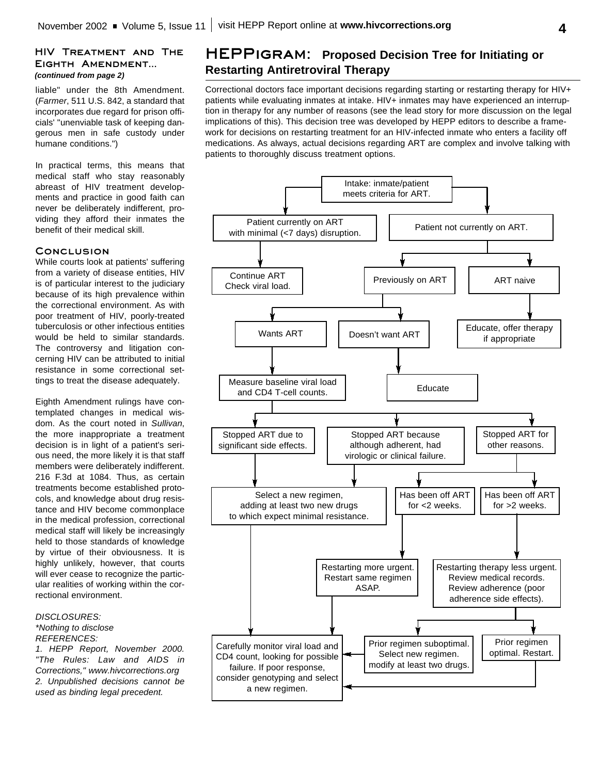## **HIV Treatment and The Eighth Amendment...** *(continued from page 2)*

liable" under the 8th Amendment. (*Farmer*, 511 U.S. 842, a standard that incorporates due regard for prison officials' "unenviable task of keeping dangerous men in safe custody under humane conditions.")

In practical terms, this means that medical staff who stay reasonably abreast of HIV treatment developments and practice in good faith can never be deliberately indifferent, providing they afford their inmates the benefit of their medical skill.

#### **Conclusion**

While courts look at patients' suffering from a variety of disease entities, HIV is of particular interest to the judiciary because of its high prevalence within the correctional environment. As with poor treatment of HIV, poorly-treated tuberculosis or other infectious entities would be held to similar standards. The controversy and litigation concerning HIV can be attributed to initial resistance in some correctional settings to treat the disease adequately.

Eighth Amendment rulings have contemplated changes in medical wisdom. As the court noted in *Sullivan*, the more inappropriate a treatment decision is in light of a patient's serious need, the more likely it is that staff members were deliberately indifferent. 216 F.3d at 1084. Thus, as certain treatments become established protocols, and knowledge about drug resistance and HIV become commonplace in the medical profession, correctional medical staff will likely be increasingly held to those standards of knowledge by virtue of their obviousness. It is highly unlikely, however, that courts will ever cease to recognize the particular realities of working within the correctional environment.

#### *DISCLOSURES: \*Nothing to disclose*

## *REFERENCES:*

*1. HEPP Report, November 2000. "The Rules: Law and AIDS in Corrections," www.hivcorrections.org 2. Unpublished decisions cannot be used as binding legal precedent.*

## **HEPPigram: Proposed Decision Tree for Initiating or Restarting Antiretroviral Therapy**

Correctional doctors face important decisions regarding starting or restarting therapy for HIV+ patients while evaluating inmates at intake. HIV+ inmates may have experienced an interruption in therapy for any number of reasons (see the lead story for more discussion on the legal implications of this). This decision tree was developed by HEPP editors to describe a framework for decisions on restarting treatment for an HIV-infected inmate who enters a facility off medications. As always, actual decisions regarding ART are complex and involve talking with patients to thoroughly discuss treatment options.

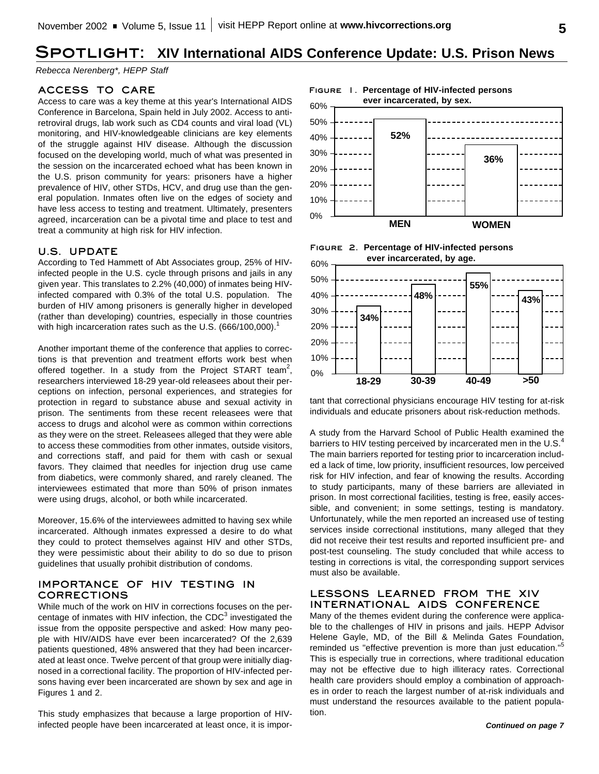# **Spotlight: XIV International AIDS Conference Update: U.S. Prison News**

*Rebecca Nerenberg\*, HEPP Staff*

### **ACCESS TO CARE**

Access to care was a key theme at this year's International AIDS Conference in Barcelona, Spain held in July 2002. Access to antiretroviral drugs, lab work such as CD4 counts and viral load (VL) monitoring, and HIV-knowledgeable clinicians are key elements of the struggle against HIV disease. Although the discussion focused on the developing world, much of what was presented in the session on the incarcerated echoed what has been known in the U.S. prison community for years: prisoners have a higher prevalence of HIV, other STDs, HCV, and drug use than the general population. Inmates often live on the edges of society and have less access to testing and treatment. Ultimately, presenters agreed, incarceration can be a pivotal time and place to test and treat a community at high risk for HIV infection.

## **U.S. UPDATE**

According to Ted Hammett of Abt Associates group, 25% of HIVinfected people in the U.S. cycle through prisons and jails in any given year. This translates to 2.2% (40,000) of inmates being HIVinfected compared with 0.3% of the total U.S. population. The burden of HIV among prisoners is generally higher in developed (rather than developing) countries, especially in those countries with high incarceration rates such as the U.S. (666/100,000).<sup>1</sup>

Another important theme of the conference that applies to corrections is that prevention and treatment efforts work best when offered together. In a study from the Project START team<sup>2</sup>, researchers interviewed 18-29 year-old releasees about their perceptions on infection, personal experiences, and strategies for protection in regard to substance abuse and sexual activity in prison. The sentiments from these recent releasees were that access to drugs and alcohol were as common within corrections as they were on the street. Releasees alleged that they were able to access these commodities from other inmates, outside visitors, and corrections staff, and paid for them with cash or sexual favors. They claimed that needles for injection drug use came from diabetics, were commonly shared, and rarely cleaned. The interviewees estimated that more than 50% of prison inmates were using drugs, alcohol, or both while incarcerated.

Moreover, 15.6% of the interviewees admitted to having sex while incarcerated. Although inmates expressed a desire to do what they could to protect themselves against HIV and other STDs, they were pessimistic about their ability to do so due to prison guidelines that usually prohibit distribution of condoms.

### **IMPORTANCE OF HIV TESTING IN CORRECTIONS**

While much of the work on HIV in corrections focuses on the percentage of inmates with HIV infection, the CDC $3$  investigated the issue from the opposite perspective and asked: How many people with HIV/AIDS have ever been incarcerated? Of the 2,639 patients questioned, 48% answered that they had been incarcerated at least once. Twelve percent of that group were initially diagnosed in a correctional facility. The proportion of HIV-infected persons having ever been incarcerated are shown by sex and age in Figures 1 and 2.

This study emphasizes that because a large proportion of HIVinfected people have been incarcerated at least once, it is impor-

**Figure 1. Percentage of HIV-infected persons ever incarcerated, by sex.**







tant that correctional physicians encourage HIV testing for at-risk individuals and educate prisoners about risk-reduction methods.

A study from the Harvard School of Public Health examined the barriers to HIV testing perceived by incarcerated men in the U.S. $^{4}$ The main barriers reported for testing prior to incarceration included a lack of time, low priority, insufficient resources, low perceived risk for HIV infection, and fear of knowing the results. According to study participants, many of these barriers are alleviated in prison. In most correctional facilities, testing is free, easily accessible, and convenient; in some settings, testing is mandatory. Unfortunately, while the men reported an increased use of testing services inside correctional institutions, many alleged that they did not receive their test results and reported insufficient pre- and post-test counseling. The study concluded that while access to testing in corrections is vital, the corresponding support services must also be available.

## **LESSONS LEARNED FROM THE XIV INTERNATIONAL AIDS CONFERENCE**

Many of the themes evident during the conference were applicable to the challenges of HIV in prisons and jails. HEPP Advisor Helene Gayle, MD, of the Bill & Melinda Gates Foundation, reminded us "effective prevention is more than just education."<sup>5</sup> This is especially true in corrections, where traditional education may not be effective due to high illiteracy rates. Correctional health care providers should employ a combination of approaches in order to reach the largest number of at-risk individuals and must understand the resources available to the patient population.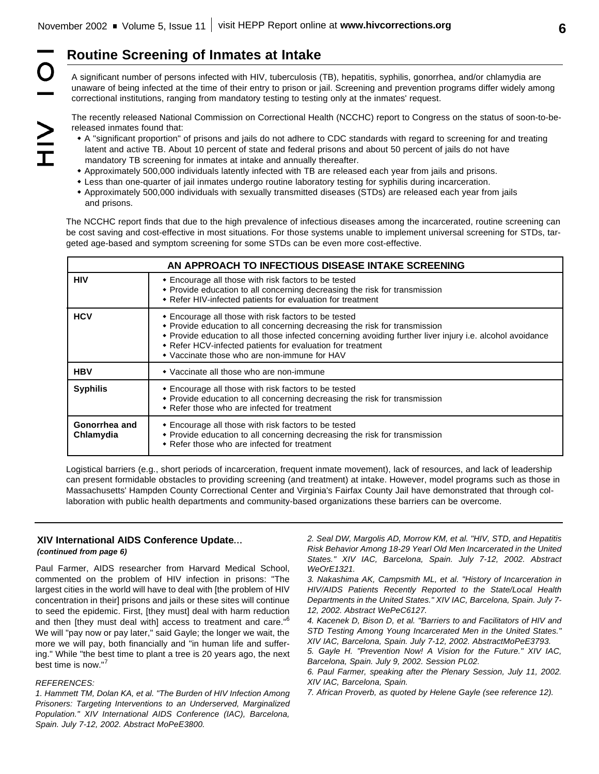## **Routine Screening of Inmates at Intake**

A significant number of persons infected with HIV, tuberculosis (TB), hepatitis, syphilis, gonorrhea, and/or chlamydia are unaware of being infected at the time of their entry to prison or jail. Screening and prevention programs differ widely among correctional institutions, ranging from mandatory testing to testing only at the inmates' request.

The recently released National Commission on Correctional Health (NCCHC) report to Congress on the status of soon-to-bereleased inmates found that:

- w A "significant proportion" of prisons and jails do not adhere to CDC standards with regard to screening for and treating latent and active TB. About 10 percent of state and federal prisons and about 50 percent of jails do not have mandatory TB screening for inmates at intake and annually thereafter.
- w Approximately 500,000 individuals latently infected with TB are released each year from jails and prisons.
- w Less than one-quarter of jail inmates undergo routine laboratory testing for syphilis during incarceration.
- w Approximately 500,000 individuals with sexually transmitted diseases (STDs) are released each year from jails and prisons.

The NCCHC report finds that due to the high prevalence of infectious diseases among the incarcerated, routine screening can be cost saving and cost-effective in most situations. For those systems unable to implement universal screening for STDs, targeted age-based and symptom screening for some STDs can be even more cost-effective.

| AN APPROACH TO INFECTIOUS DISEASE INTAKE SCREENING |                                                                                                                                                                                                                                                                                                                                                               |  |  |
|----------------------------------------------------|---------------------------------------------------------------------------------------------------------------------------------------------------------------------------------------------------------------------------------------------------------------------------------------------------------------------------------------------------------------|--|--|
| <b>HIV</b>                                         | • Encourage all those with risk factors to be tested<br>• Provide education to all concerning decreasing the risk for transmission<br>• Refer HIV-infected patients for evaluation for treatment                                                                                                                                                              |  |  |
| <b>HCV</b>                                         | • Encourage all those with risk factors to be tested<br>• Provide education to all concerning decreasing the risk for transmission<br>• Provide education to all those infected concerning avoiding further liver injury i.e. alcohol avoidance<br>• Refer HCV-infected patients for evaluation for treatment<br>• Vaccinate those who are non-immune for HAV |  |  |
| <b>HBV</b>                                         | • Vaccinate all those who are non-immune                                                                                                                                                                                                                                                                                                                      |  |  |
| <b>Syphilis</b>                                    | • Encourage all those with risk factors to be tested<br>• Provide education to all concerning decreasing the risk for transmission<br>• Refer those who are infected for treatment                                                                                                                                                                            |  |  |
| Gonorrhea and<br>Chlamydia                         | • Encourage all those with risk factors to be tested<br>• Provide education to all concerning decreasing the risk for transmission<br>• Refer those who are infected for treatment                                                                                                                                                                            |  |  |

Logistical barriers (e.g., short periods of incarceration, frequent inmate movement), lack of resources, and lack of leadership can present formidable obstacles to providing screening (and treatment) at intake. However, model programs such as those in Massachusetts' Hampden County Correctional Center and Virginia's Fairfax County Jail have demonstrated that through collaboration with public health departments and community-based organizations these barriers can be overcome.

### **XIV International AIDS Conference Update...** *(continued from page 6)*

Paul Farmer, AIDS researcher from Harvard Medical School, commented on the problem of HIV infection in prisons: "The largest cities in the world will have to deal with [the problem of HIV concentration in their] prisons and jails or these sites will continue to seed the epidemic. First, [they must] deal with harm reduction and then [they must deal with] access to treatment and care."<sup>6</sup> We will "pay now or pay later," said Gayle; the longer we wait, the more we will pay, both financially and "in human life and suffering." While "the best time to plant a tree is 20 years ago, the next best time is now."<sup>7</sup>

#### *REFERENCES:*

*1. Hammett TM, Dolan KA, et al. "The Burden of HIV Infection Among Prisoners: Targeting Interventions to an Underserved, Marginalized Population." XIV International AIDS Conference (IAC), Barcelona, Spain. July 7-12, 2002. Abstract MoPeE3800.*

*2. Seal DW, Margolis AD, Morrow KM, et al. "HIV, STD, and Hepatitis Risk Behavior Among 18-29 Yearl Old Men Incarcerated in the United States." XIV IAC, Barcelona, Spain. July 7-12, 2002. Abstract WeOrE1321.*

*3. Nakashima AK, Campsmith ML, et al. "History of Incarceration in HIV/AIDS Patients Recently Reported to the State/Local Health Departments in the United States." XIV IAC, Barcelona, Spain. July 7- 12, 2002. Abstract WePeC6127.*

*4. Kacenek D, Bison D, et al. "Barriers to and Facilitators of HIV and STD Testing Among Young Incarcerated Men in the United States." XIV IAC, Barcelona, Spain. July 7-12, 2002. AbstractMoPeE3793.*

*5. Gayle H. "Prevention Now! A Vision for the Future." XIV IAC, Barcelona, Spain. July 9, 2002. Session PL02.*

*6. Paul Farmer, speaking after the Plenary Session, July 11, 2002. XIV IAC, Barcelona, Spain.*

*7. African Proverb, as quoted by Helene Gayle (see reference 12).*

O  $\geq$ <br> $\frac{1}{2}$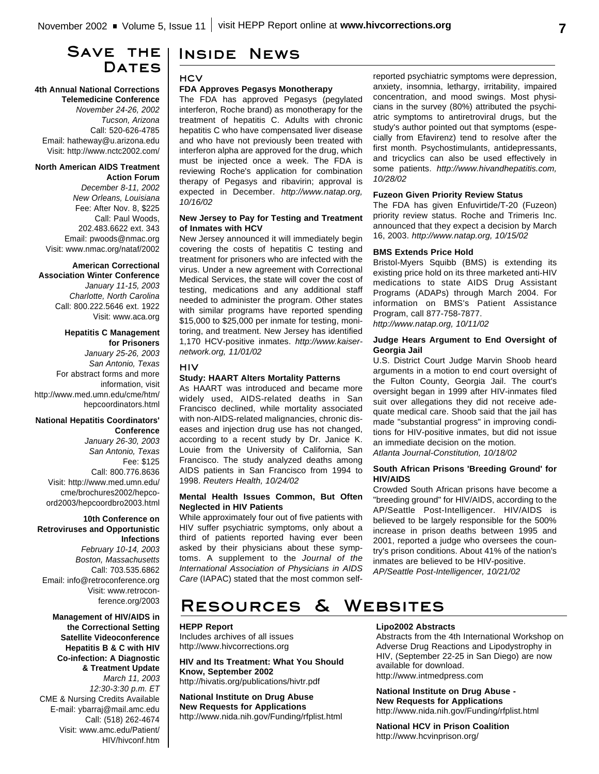## **Save the Dates**

#### **4th Annual National Corrections Telemedicine Conference**

*November 24-26, 2002 Tucson, Arizona* Call: 520-626-4785 Email: hatheway@u.arizona.edu Visit: http://www.nctc2002.com/

#### **North American AIDS Treatment Action Forum**

*December 8-11, 2002 New Orleans, Louisiana* Fee: After Nov. 8, \$225 Call: Paul Woods, 202.483.6622 ext. 343 Email: pwoods@nmac.org Visit: www.nmac.org/nataf/2002

## **American Correctional**

**Association Winter Conference** *January 11-15, 2003 Charlotte, North Carolina* Call: 800.222.5646 ext. 1922 Visit: www.aca.org

#### **Hepatitis C Management for Prisoners**

*January 25-26, 2003 San Antonio, Texas* For abstract forms and more information, visit http://www.med.umn.edu/cme/htm/ hepcoordinators.html

#### **National Hepatitis Coordinators' Conference**

*January 26-30, 2003 San Antonio, Texas* Fee: \$125 Call: 800.776.8636 Visit: http://www.med.umn.edu/ cme/brochures2002/hepcoord2003/hepcoordbro2003.html

#### **10th Conference on Retroviruses and Opportunistic Infections**

*February 10-14, 2003 Boston, Massachusetts* Call: 703.535.6862 Email: info@retroconference.org Visit: www.retroconference.org/2003

**Management of HIV/AIDS in the Correctional Setting Satellite Videoconference Hepatitis B & C with HIV Co-infection: A Diagnostic & Treatment Update** *March 11, 2003 12:30-3:30 p.m. ET*  CME & Nursing Credits Available E-mail: ybarraj@mail.amc.edu Call: (518) 262-4674 Visit: www.amc.edu/Patient/ HIV/hivconf.htm

## **Inside News**

## **HCV**

#### **FDA Approves Pegasys Monotherapy**

The FDA has approved Pegasys (pegylated interferon, Roche brand) as monotherapy for the treatment of hepatitis C. Adults with chronic hepatitis C who have compensated liver disease and who have not previously been treated with interferon alpha are approved for the drug, which must be injected once a week. The FDA is reviewing Roche's application for combination therapy of Pegasys and ribavirin; approval is expected in December. *http://www.natap.org, 10/16/02*

#### **New Jersey to Pay for Testing and Treatment of Inmates with HCV**

New Jersey announced it will immediately begin covering the costs of hepatitis C testing and treatment for prisoners who are infected with the virus. Under a new agreement with Correctional Medical Services, the state will cover the cost of testing, medications and any additional staff needed to administer the program. Other states with similar programs have reported spending \$15,000 to \$25,000 per inmate for testing, monitoring, and treatment. New Jersey has identified 1,170 HCV-positive inmates. *http://www.kaisernetwork.org, 11/01/02*

#### **HIV**

#### **Study: HAART Alters Mortality Patterns**

As HAART was introduced and became more widely used, AIDS-related deaths in San Francisco declined, while mortality associated with non-AIDS-related malignancies, chronic diseases and injection drug use has not changed, according to a recent study by Dr. Janice K. Louie from the University of California, San Francisco. The study analyzed deaths among AIDS patients in San Francisco from 1994 to 1998. *Reuters Health, 10/24/02*

#### **Mental Health Issues Common, But Often Neglected in HIV Patients**

While approximately four out of five patients with HIV suffer psychiatric symptoms, only about a third of patients reported having ever been asked by their physicians about these symptoms. A supplement to the *Journal of the International Association of Physicians in AIDS Care* (IAPAC) stated that the most common selfreported psychiatric symptoms were depression, anxiety, insomnia, lethargy, irritability, impaired concentration, and mood swings. Most physicians in the survey (80%) attributed the psychiatric symptoms to antiretroviral drugs, but the study's author pointed out that symptoms (especially from Efavirenz) tend to resolve after the first month. Psychostimulants, antidepressants, and tricyclics can also be used effectively in some patients. *http://www.hivandhepatitis.com, 10/28/02*

#### **Fuzeon Given Priority Review Status**

The FDA has given Enfuvirtide/T-20 (Fuzeon) priority review status. Roche and Trimeris Inc. announced that they expect a decision by March 16, 2003. *http://www.natap.org, 10/15/02*

#### **BMS Extends Price Hold**

Bristol-Myers Squibb (BMS) is extending its existing price hold on its three marketed anti-HIV medications to state AIDS Drug Assistant Programs (ADAPs) through March 2004. For information on BMS's Patient Assistance Program, call 877-758-7877.

*http://www.natap.org, 10/11/02*

#### **Judge Hears Argument to End Oversight of Georgia Jail**

U.S. District Court Judge Marvin Shoob heard arguments in a motion to end court oversight of the Fulton County, Georgia Jail. The court's oversight began in 1999 after HIV-inmates filed suit over allegations they did not receive adequate medical care. Shoob said that the jail has made "substantial progress" in improving conditions for HIV-positive inmates, but did not issue an immediate decision on the motion.

*Atlanta Journal-Constitution, 10/18/02*

#### **South African Prisons 'Breeding Ground' for HIV/AIDS**

Crowded South African prisons have become a "breeding ground" for HIV/AIDS, according to the AP/Seattle Post-Intelligencer. HIV/AIDS is believed to be largely responsible for the 500% increase in prison deaths between 1995 and 2001, reported a judge who oversees the country's prison conditions. About 41% of the nation's inmates are believed to be HIV-positive. *AP/Seattle Post-Intelligencer, 10/21/02*

# **Resources & Websites**

**HEPP Report** Includes archives of all issues http://www.hivcorrections.org

**HIV and Its Treatment: What You Should Know, September 2002** http://hivatis.org/publications/hivtr.pdf

**National Institute on Drug Abuse New Requests for Applications** http://www.nida.nih.gov/Funding/rfplist.html

#### **Lipo2002 Abstracts**

Abstracts from the 4th International Workshop on Adverse Drug Reactions and Lipodystrophy in HIV, (September 22-25 in San Diego) are now available for download. http://www.intmedpress.com

**National Institute on Drug Abuse - New Requests for Applications** http://www.nida.nih.gov/Funding/rfplist.html

**National HCV in Prison Coalition** http://www.hcvinprison.org/